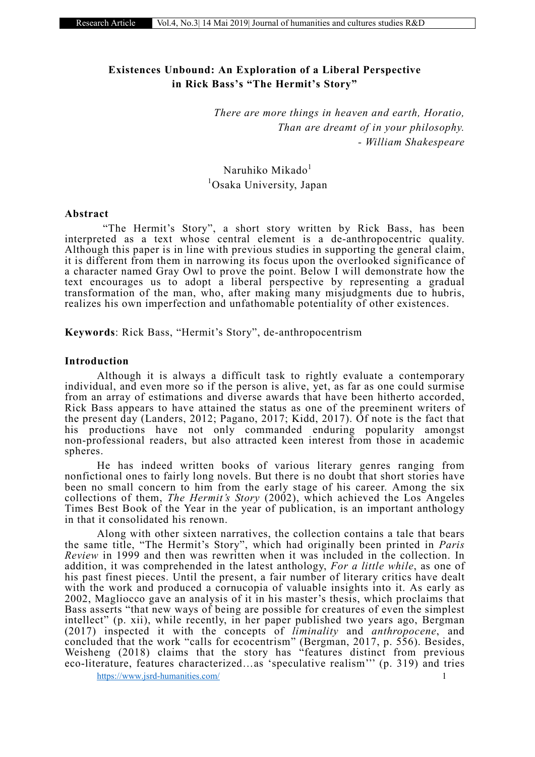# Existences Unbound: An Exploration of a Liberal Perspective in Rick Bass's "The Hermit's Story"

*There are more things in heaven and earth, Horatio, Than are dreamt of in your philosophy. - William Shakespeare*

Naruhiko Mikado<sup>1</sup> 1 Osaka University, Japan

## Abstract

"The Hermit's Story", a short story written by Rick Bass, has been interpreted as a text whose central element is a de-anthropocentric quality. Although this paper is in line with previous studies in supporting the general claim, it is different from them in narrowing its focus upon the overlooked significance of a character named Gray Owl to prove the point. Below I will demonstrate how the text encourages us to adopt a liberal perspective by representing a gradual transformation of the man, who, after making many misjudgments due to hubris, realizes his own imperfection and unfathomable potentiality of other existences.

Keywords: Rick Bass, "Hermit's Story", de-anthropocentrism

## Introduction

Although it is always a difficult task to rightly evaluate a contemporary individual, and even more so if the person is alive, yet, as far as one could surmise from an array of estimations and diverse awards that have been hitherto accorded, Rick Bass appears to have attained the status as one of the preeminent writers of the present day (Landers, 2012; Pagano, 2017; Kidd, 2017). Of note is the fact that his productions have not only commanded enduring popularity amongst non-professional readers, but also attracted keen interest from those in academic spheres.

He has indeed written books of various literary genres ranging from nonfictional ones to fairly long novels. But there is no doubt that short stories have been no small concern to him from the early stage of his career. Among the six collections of them, *The Hermit's Story* (2002), which achieved the Los Angeles Times Best Book of the Year in the year of publication, is an important anthology in that it consolidated his renown.

Along with other sixteen narratives, the collection contains a tale that bears the same title, "The Hermit's Story", which had originally been printed in *Paris Review* in 1999 and then was rewritten when it was included in the collection. In addition, it was comprehended in the latest anthology, *For a little while*, as one of his past finest pieces. Until the present, a fair number of literary critics have dealt with the work and produced a cornucopia of valuable insights into it. As early as 2002, Magliocco gave an analysis of it in his master's thesis, which proclaims that Bass asserts "that new ways of being are possible for creatures of even the simplest intellect" (p. xii), while recently, in her paper published two years ago, Bergman (2017) inspected it with the concepts of *liminality* and *anthropocene*, and concluded that the work "calls for ecocentrism" (Bergman, 2017, p. 556). Besides, Weisheng (2018) claims that the story has "features distinct from previous eco-literature, features characterized…as 'speculative realism''' (p. 319) and tries

https://www.jsrd-humanities.com/ 1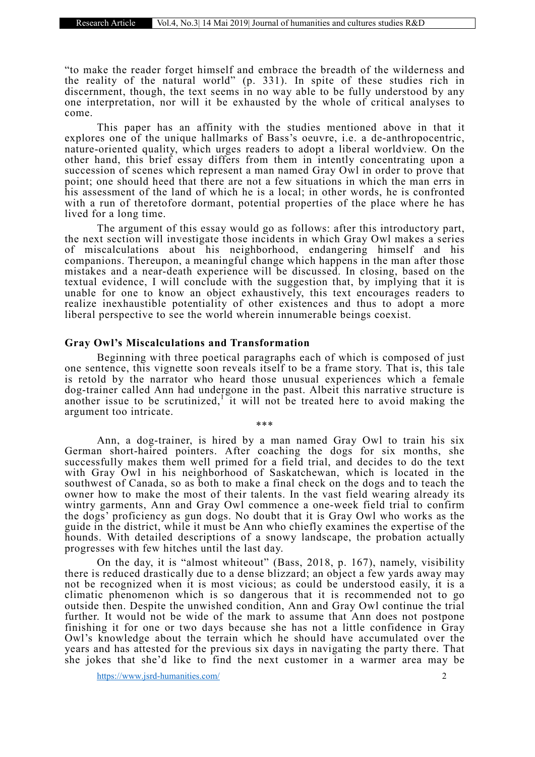"to make the reader forget himself and embrace the breadth of the wilderness and the reality of the natural world" (p. 331). In spite of these studies rich in discernment, though, the text seems in no way able to be fully understood by any one interpretation, nor will it be exhausted by the whole of critical analyses to come.

This paper has an affinity with the studies mentioned above in that it explores one of the unique hallmarks of Bass's oeuvre, i.e. a de-anthropocentric, nature-oriented quality, which urges readers to adopt a liberal worldview. On the other hand, this brief essay differs from them in intently concentrating upon a succession of scenes which represent a man named Gray Owl in order to prove that point; one should heed that there are not a few situations in which the man errs in his assessment of the land of which he is a local; in other words, he is confronted with a run of theretofore dormant, potential properties of the place where he has lived for a long time.

The argument of this essay would go as follows: after this introductory part, the next section will investigate those incidents in which Gray Owl makes a series of miscalculations about his neighborhood, endangering himself and his companions. Thereupon, a meaningful change which happens in the man after those mistakes and a near-death experience will be discussed. In closing, based on the textual evidence, I will conclude with the suggestion that, by implying that it is unable for one to know an object exhaustively, this text encourages readers to realize inexhaustible potentiality of other existences and thus to adopt a more liberal perspective to see the world wherein innumerable beings coexist.

#### Gray Owl's Miscalculations and Transformation

Beginning with three poetical paragraphs each of which is composed of just one sentence, this vignette soon reveals itself to be a frame story. That is, this tale is retold by the narrator who heard those unusual experiences which a female dog-trainer called Ann had undergone in the past. Albeit this narrative structure is another issue to be scrutinized,<sup>1</sup> it will not be treated here to avoid making the argument too intricate.

\*\*\*

Ann, a dog-trainer, is hired by a man named Gray Owl to train his six German short-haired pointers. After coaching the dogs for six months, she successfully makes them well primed for a field trial, and decides to do the text with Gray Owl in his neighborhood of Saskatchewan, which is located in the southwest of Canada, so as both to make a final check on the dogs and to teach the owner how to make the most of their talents. In the vast field wearing already its wintry garments, Ann and Gray Owl commence a one-week field trial to confirm the dogs' proficiency as gun dogs. No doubt that it is Gray Owl who works as the guide in the district, while it must be Ann who chiefly examines the expertise of the hounds. With detailed descriptions of a snowy landscape, the probation actually progresses with few hitches until the last day.

On the day, it is "almost whiteout" (Bass, 2018, p. 167), namely, visibility there is reduced drastically due to a dense blizzard; an object a few yards away may not be recognized when it is most vicious; as could be understood easily, it is a climatic phenomenon which is so dangerous that it is recommended not to go outside then. Despite the unwished condition, Ann and Gray Owl continue the trial further. It would not be wide of the mark to assume that Ann does not postpone finishing it for one or two days because she has not a little confidence in Gray Owl's knowledge about the terrain which he should have accumulated over the years and has attested for the previous six days in navigating the party there. That she jokes that she'd like to find the next customer in a warmer area may be

https://www.jsrd-humanities.com/ 2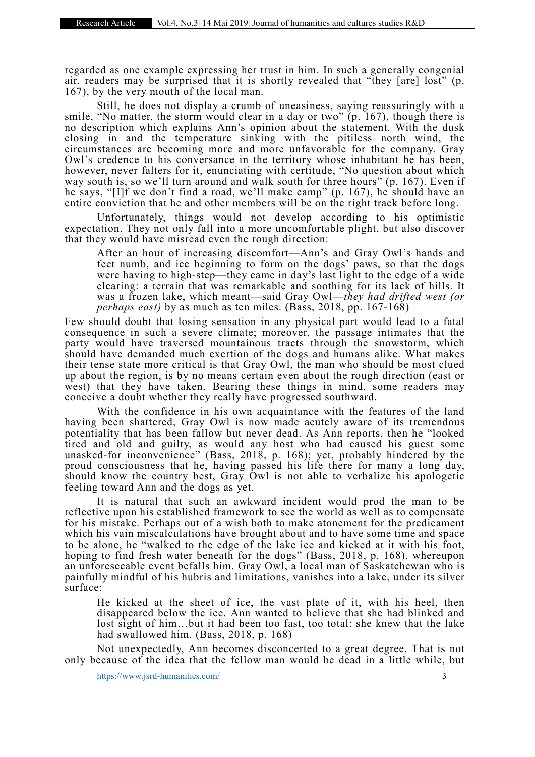regarded as one example expressing her trust in him. In such a generally congenial air, readers may be surprised that it is shortly revealed that "they [are] lost" (p. 167), by the very mouth of the local man.

Still, he does not display a crumb of uneasiness, saying reassuringly with a smile, "No matter, the storm would clear in a day or two" (p. 167), though there is no description which explains Ann's opinion about the statement. With the dusk closing in and the temperature sinking with the pitiless north wind, the circumstances are becoming more and more unfavorable for the company. Gray Owl's credence to his conversance in the territory whose inhabitant he has been, however, never falters for it, enunciating with certitude, "No question about which way south is, so we'll turn around and walk south for three hours" (p. 167). Even if he says, "[I]f we don't find a road, we'll make camp" (p. 167), he should have an entire conviction that he and other members will be on the right track before long.

Unfortunately, things would not develop according to his optimistic expectation. They not only fall into a more uncomfortable plight, but also discover that they would have misread even the rough direction:

After an hour of increasing discomfort—Ann's and Gray Owl's hands and feet numb, and ice beginning to form on the dogs' paws, so that the dogs were having to high-step—they came in day's last light to the edge of a wide clearing: a terrain that was remarkable and soothing for its lack of hills. It was a frozen lake, which meant—said Gray Owl—*they had drifted west (or perhaps east)* by as much as ten miles. (Bass, 2018, pp. 167-168)

Few should doubt that losing sensation in any physical part would lead to a fatal consequence in such a severe climate; moreover, the passage intimates that the party would have traversed mountainous tracts through the snowstorm, which should have demanded much exertion of the dogs and humans alike. What makes their tense state more critical is that Gray Owl, the man who should be most clued up about the region, is by no means certain even about the rough direction (east or west) that they have taken. Bearing these things in mind, some readers may conceive a doubt whether they really have progressed southward.

With the confidence in his own acquaintance with the features of the land having been shattered, Gray Owl is now made acutely aware of its tremendous potentiality that has been fallow but never dead. As Ann reports, then he "looked tired and old and guilty, as would any host who had caused his guest some unasked-for inconvenience" (Bass, 2018, p. 168); yet, probably hindered by the proud consciousness that he, having passed his life there for many a long day, should know the country best, Gray Owl is not able to verbalize his apologetic feeling toward Ann and the dogs as yet.

It is natural that such an awkward incident would prod the man to be reflective upon his established framework to see the world as well as to compensate for his mistake. Perhaps out of a wish both to make atonement for the predicament which his vain miscalculations have brought about and to have some time and space to be alone, he "walked to the edge of the lake ice and kicked at it with his foot, hoping to find fresh water beneath for the dogs" (Bass, 2018, p. 168), whereupon an unforeseeable event befalls him. Gray Owl, a local man of Saskatchewan who is painfully mindful of his hubris and limitations, vanishes into a lake, under its silver surface:

He kicked at the sheet of ice, the vast plate of it, with his heel, then disappeared below the ice. Ann wanted to believe that she had blinked and lost sight of him…but it had been too fast, too total: she knew that the lake had swallowed him. (Bass, 2018, p. 168)

Not unexpectedly, Ann becomes disconcerted to a great degree. That is not only because of the idea that the fellow man would be dead in a little while, but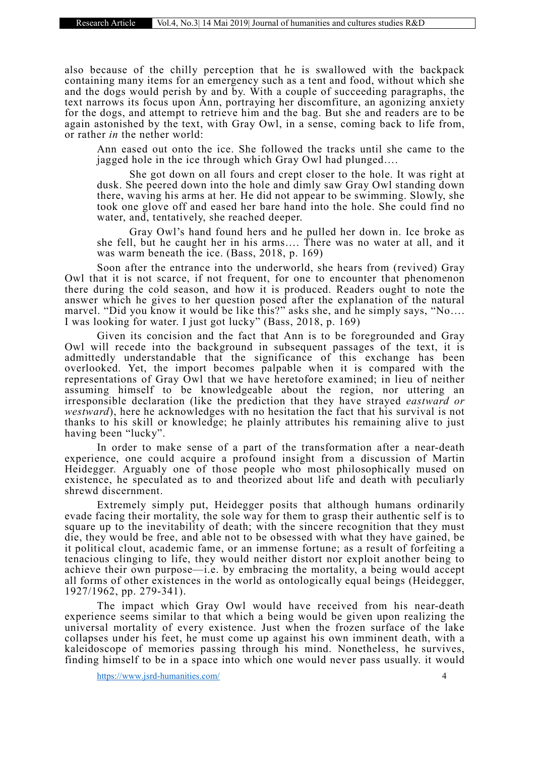also because of the chilly perception that he is swallowed with the backpack containing many items for an emergency such as a tent and food, without which she and the dogs would perish by and by. With a couple of succeeding paragraphs, the text narrows its focus upon Ann, portraying her discomfiture, an agonizing anxiety for the dogs, and attempt to retrieve him and the bag. But she and readers are to be again astonished by the text, with Gray Owl, in a sense, coming back to life from, or rather *in* the nether world:

Ann eased out onto the ice. She followed the tracks until she came to the jagged hole in the ice through which Gray Owl had plunged….

She got down on all fours and crept closer to the hole. It was right at dusk. She peered down into the hole and dimly saw Gray Owl standing down there, waving his arms at her. He did not appear to be swimming. Slowly, she took one glove off and eased her bare hand into the hole. She could find no water, and, tentatively, she reached deeper.

Gray Owl's hand found hers and he pulled her down in. Ice broke as she fell, but he caught her in his arms…. There was no water at all, and it was warm beneath the ice. (Bass, 2018, p. 169)

Soon after the entrance into the underworld, she hears from (revived) Gray Owl that it is not scarce, if not frequent, for one to encounter that phenomenon there during the cold season, and how it is produced. Readers ought to note the answer which he gives to her question posed after the explanation of the natural marvel. "Did you know it would be like this?" asks she, and he simply says, "No…. I was looking for water. I just got lucky" (Bass, 2018, p. 169)

Given its concision and the fact that Ann is to be foregrounded and Gray Owl will recede into the background in subsequent passages of the text, it is admittedly understandable that the significance of this exchange has been overlooked. Yet, the import becomes palpable when it is compared with the representations of Gray Owl that we have heretofore examined; in lieu of neither assuming himself to be knowledgeable about the region, nor uttering an irresponsible declaration (like the prediction that they have strayed *eastward or westward*), here he acknowledges with no hesitation the fact that his survival is not thanks to his skill or knowledge; he plainly attributes his remaining alive to just having been "lucky".

In order to make sense of a part of the transformation after a near-death experience, one could acquire a profound insight from a discussion of Martin Heidegger. Arguably one of those people who most philosophically mused on existence, he speculated as to and theorized about life and death with peculiarly shrewd discernment.

Extremely simply put, Heidegger posits that although humans ordinarily evade facing their mortality, the sole way for them to grasp their authentic self is to square up to the inevitability of death; with the sincere recognition that they must die, they would be free, and able not to be obsessed with what they have gained, be it political clout, academic fame, or an immense fortune; as a result of forfeiting a tenacious clinging to life, they would neither distort nor exploit another being to achieve their own purpose—i.e. by embracing the mortality, a being would accept all forms of other existences in the world as ontologically equal beings (Heidegger, 1927/1962, pp. 279-341).

The impact which Gray Owl would have received from his near-death experience seems similar to that which a being would be given upon realizing the universal mortality of every existence. Just when the frozen surface of the lake collapses under his feet, he must come up against his own imminent death, with a kaleidoscope of memories passing through his mind. Nonetheless, he survives, finding himself to be in a space into which one would never pass usually. it would

https://www.jsrd-humanities.com/ 4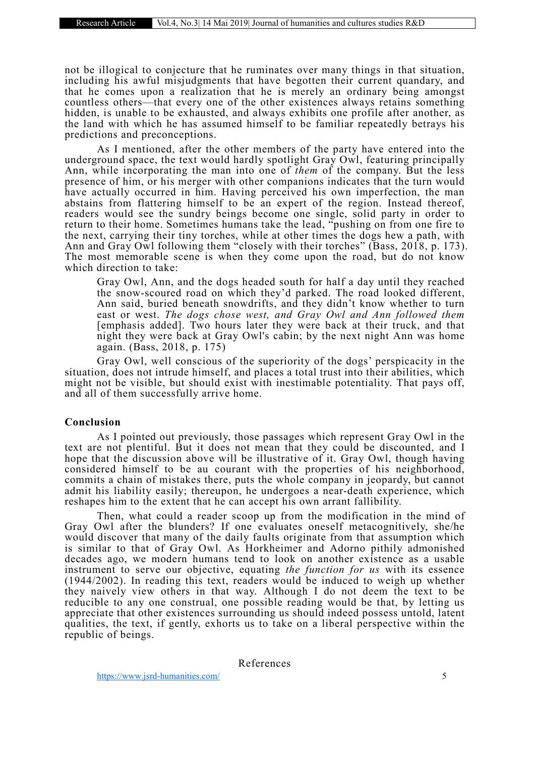not be illogical to conjecture that he ruminates over many things in that situation, including his awful misjudgments that have begotten their current quandary, and that he comes upon a realization that he is merely an ordinary being amongst countless others—that every one of the other existences always retains something hidden, is unable to be exhausted, and always exhibits one profile after another, as the land with which he has assumed himself to be familiar repeatedly betrays his predictions and preconceptions.

As I mentioned, after the other members of the party have entered into the underground space, the text would hardly spotlight Gray Owl, featuring principally Ann, while incorporating the man into one of *them* of the company. But the less presence of him, or his merger with other companions indicates that the turn would have actually occurred in him. Having perceived his own imperfection, the man abstains from flattering himself to be an expert of the region. Instead thereof, readers would see the sundry beings become one single, solid party in order to return to their home. Sometimes humans take the lead, "pushing on from one fire to the next, carrying their tiny torches, while at other times the dogs hew a path, with Ann and Gray Owl following them "closely with their torches" (Bass, 2018, p. 173). The most memorable scene is when they come upon the road, but do not know which direction to take:

Gray Owl, Ann, and the dogs headed south for half a day until they reached the snow-scoured road on which they'd parked. The road looked different, Ann said, buried beneath snowdrifts, and they didn't know whether to turn east or west. *The dogs chose west, and Gray Owl and Ann followed them* [emphasis added]. Two hours later they were back at their truck, and that night they were back at Gray Owl's cabin; by the next night Ann was home again. (Bass, 2018, p. 175)

Gray Owl, well conscious of the superiority of the dogs' perspicacity in the situation, does not intrude himself, and places a total trust into their abilities, which might not be visible, but should exist with inestimable potentiality. That pays off, and all of them successfully arrive home.

### Conclusion

As I pointed out previously, those passages which represent Gray Owl in the text are not plentiful. But it does not mean that they could be discounted, and I hope that the discussion above will be illustrative of it. Gray Owl, though having considered himself to be au courant with the properties of his neighborhood, commits a chain of mistakes there, puts the whole company in jeopardy, but cannot admit his liability easily; thereupon, he undergoes a near-death experience, which reshapes him to the extent that he can accept his own arrant fallibility.

Then, what could a reader scoop up from the modification in the mind of Gray Owl after the blunders? If one evaluates oneself metacognitively, she/he would discover that many of the daily faults originate from that assumption which is similar to that of Gray Owl. As Horkheimer and Adorno pithily admonished decades ago, we modern humans tend to look on another existence as a usable instrument to serve our objective, equating *the function for us* with its essence (1944/2002). In reading this text, readers would be induced to weigh up whether they naively view others in that way. Although I do not deem the text to be reducible to any one construal, one possible reading would be that, by letting us appreciate that other existences surrounding us should indeed possess untold, latent qualities, the text, if gently, exhorts us to take on a liberal perspective within the republic of beings.

References